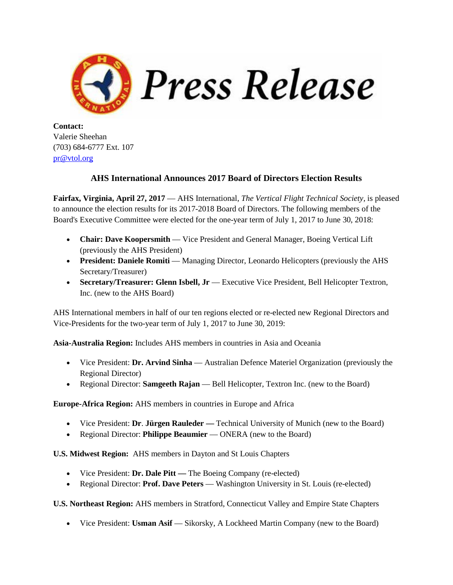

**Contact:** Valerie Sheehan (703) 684-6777 Ext. 107 [pr@vtol.org](mailto:pr@vtol.org)

## **AHS International Announces 2017 Board of Directors Election Results**

**Fairfax, Virginia, April 27, 2017** — AHS International, *The Vertical Flight Technical Society,* is pleased to announce the election results for its 2017-2018 Board of Directors. The following members of the Board's Executive Committee were elected for the one-year term of July 1, 2017 to June 30, 2018:

- **Chair: Dave Koopersmith** Vice President and General Manager, Boeing Vertical Lift (previously the AHS President)
- **President: Daniele Romiti** Managing Director, Leonardo Helicopters (previously the AHS Secretary/Treasurer)
- **Secretary/Treasurer: Glenn Isbell, Jr** Executive Vice President, Bell Helicopter Textron, Inc. (new to the AHS Board)

AHS International members in half of our ten regions elected or re-elected new Regional Directors and Vice-Presidents for the two-year term of July 1, 2017 to June 30, 2019:

**Asia-Australia Region:** Includes AHS members in countries in Asia and Oceania

- Vice President: **Dr. Arvind Sinha** Australian Defence Materiel Organization (previously the Regional Director)
- Regional Director: **Samgeeth Rajan** Bell Helicopter, Textron Inc. (new to the Board)

**Europe-Africa Region:** AHS members in countries in Europe and Africa

- Vice President: **Dr**. **Jürgen Rauleder —** Technical University of Munich (new to the Board)
- Regional Director: **Philippe Beaumier** ONERA (new to the Board)

**U.S. Midwest Region:** AHS members in Dayton and St Louis Chapters

- Vice President: **Dr. Dale Pitt** The Boeing Company (re-elected)
- Regional Director: **Prof. Dave Peters** Washington University in St. Louis (re-elected)

**U.S. Northeast Region:** AHS members in Stratford, Connecticut Valley and Empire State Chapters

• Vice President: **Usman Asif** — Sikorsky, A Lockheed Martin Company (new to the Board)